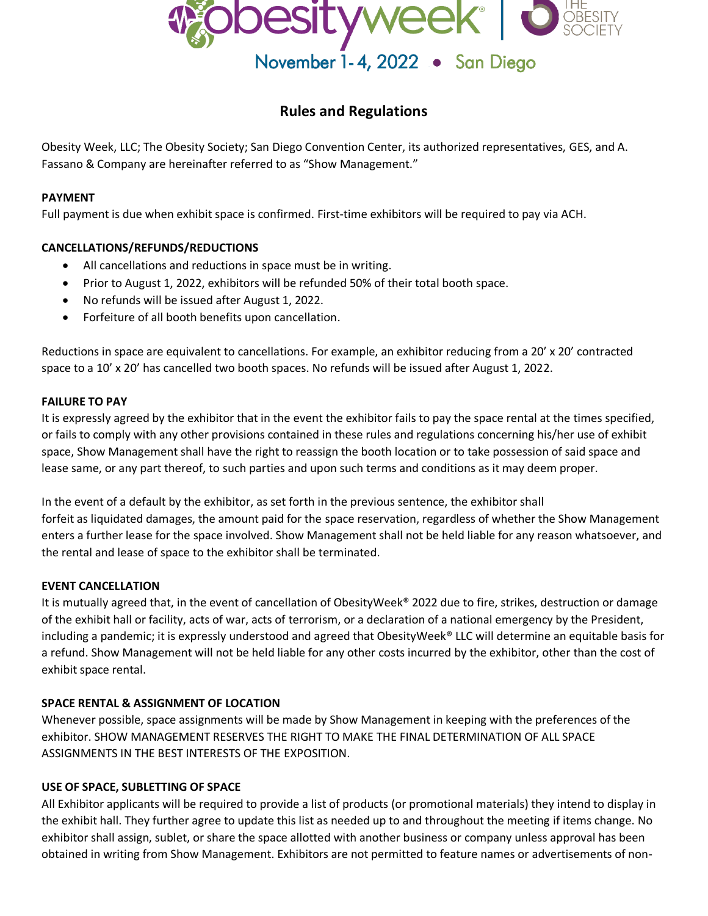

# **Rules and Regulations**

Obesity Week, LLC; The Obesity Society; San Diego Convention Center, its authorized representatives, GES, and A. Fassano & Company are hereinafter referred to as "Show Management."

#### **PAYMENT**

Full payment is due when exhibit space is confirmed. First-time exhibitors will be required to pay via ACH.

# **CANCELLATIONS/REFUNDS/REDUCTIONS**

- All cancellations and reductions in space must be in writing.
- Prior to August 1, 2022, exhibitors will be refunded 50% of their total booth space.
- No refunds will be issued after August 1, 2022.
- Forfeiture of all booth benefits upon cancellation.

Reductions in space are equivalent to cancellations. For example, an exhibitor reducing from a 20' x 20' contracted space to a 10' x 20' has cancelled two booth spaces. No refunds will be issued after August 1, 2022.

#### **FAILURE TO PAY**

It is expressly agreed by the exhibitor that in the event the exhibitor fails to pay the space rental at the times specified, or fails to comply with any other provisions contained in these rules and regulations concerning his/her use of exhibit space, Show Management shall have the right to reassign the booth location or to take possession of said space and lease same, or any part thereof, to such parties and upon such terms and conditions as it may deem proper.

In the event of a default by the exhibitor, as set forth in the previous sentence, the exhibitor shall forfeit as liquidated damages, the amount paid for the space reservation, regardless of whether the Show Management enters a further lease for the space involved. Show Management shall not be held liable for any reason whatsoever, and the rental and lease of space to the exhibitor shall be terminated.

#### **EVENT CANCELLATION**

It is mutually agreed that, in the event of cancellation of ObesityWeek® 2022 due to fire, strikes, destruction or damage of the exhibit hall or facility, acts of war, acts of terrorism, or a declaration of a national emergency by the President, including a pandemic; it is expressly understood and agreed that ObesityWeek® LLC will determine an equitable basis for a refund. Show Management will not be held liable for any other costs incurred by the exhibitor, other than the cost of exhibit space rental.

#### **SPACE RENTAL & ASSIGNMENT OF LOCATION**

Whenever possible, space assignments will be made by Show Management in keeping with the preferences of the exhibitor. SHOW MANAGEMENT RESERVES THE RIGHT TO MAKE THE FINAL DETERMINATION OF ALL SPACE ASSIGNMENTS IN THE BEST INTERESTS OF THE EXPOSITION.

#### **USE OF SPACE, SUBLETTING OF SPACE**

All Exhibitor applicants will be required to provide a list of products (or promotional materials) they intend to display in the exhibit hall. They further agree to update this list as needed up to and throughout the meeting if items change. No exhibitor shall assign, sublet, or share the space allotted with another business or company unless approval has been obtained in writing from Show Management. Exhibitors are not permitted to feature names or advertisements of non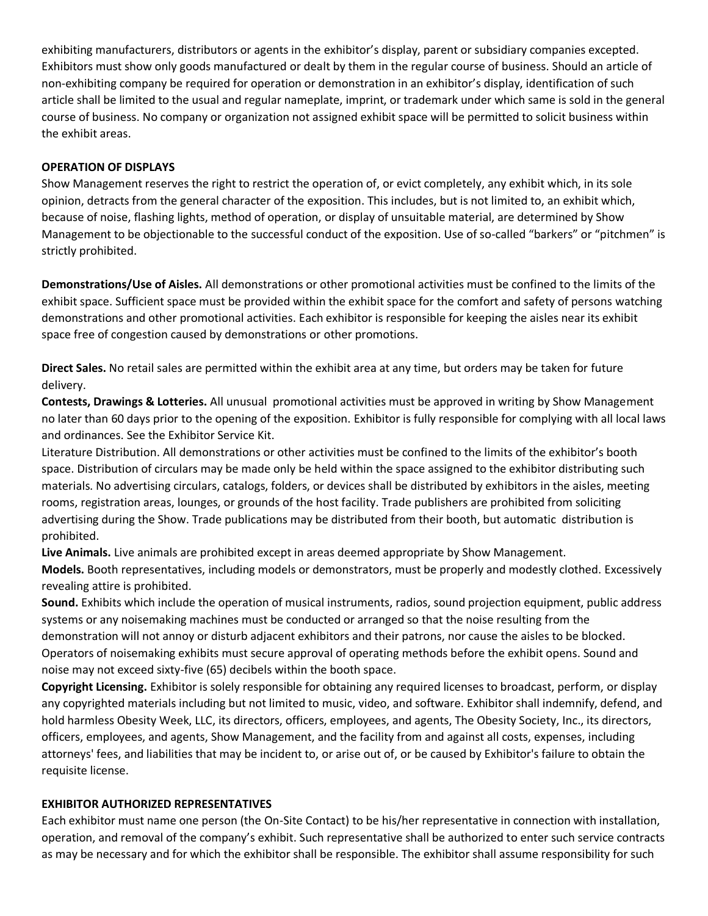exhibiting manufacturers, distributors or agents in the exhibitor's display, parent or subsidiary companies excepted. Exhibitors must show only goods manufactured or dealt by them in the regular course of business. Should an article of non-exhibiting company be required for operation or demonstration in an exhibitor's display, identification of such article shall be limited to the usual and regular nameplate, imprint, or trademark under which same is sold in the general course of business. No company or organization not assigned exhibit space will be permitted to solicit business within the exhibit areas.

## **OPERATION OF DISPLAYS**

Show Management reserves the right to restrict the operation of, or evict completely, any exhibit which, in its sole opinion, detracts from the general character of the exposition. This includes, but is not limited to, an exhibit which, because of noise, flashing lights, method of operation, or display of unsuitable material, are determined by Show Management to be objectionable to the successful conduct of the exposition. Use of so-called "barkers" or "pitchmen" is strictly prohibited.

**Demonstrations/Use of Aisles.** All demonstrations or other promotional activities must be confined to the limits of the exhibit space. Sufficient space must be provided within the exhibit space for the comfort and safety of persons watching demonstrations and other promotional activities. Each exhibitor is responsible for keeping the aisles near its exhibit space free of congestion caused by demonstrations or other promotions.

**Direct Sales.** No retail sales are permitted within the exhibit area at any time, but orders may be taken for future delivery.

**Contests, Drawings & Lotteries.** All unusual promotional activities must be approved in writing by Show Management no later than 60 days prior to the opening of the exposition. Exhibitor is fully responsible for complying with all local laws and ordinances. See the Exhibitor Service Kit.

Literature Distribution. All demonstrations or other activities must be confined to the limits of the exhibitor's booth space. Distribution of circulars may be made only be held within the space assigned to the exhibitor distributing such materials. No advertising circulars, catalogs, folders, or devices shall be distributed by exhibitors in the aisles, meeting rooms, registration areas, lounges, or grounds of the host facility. Trade publishers are prohibited from soliciting advertising during the Show. Trade publications may be distributed from their booth, but automatic distribution is prohibited.

**Live Animals.** Live animals are prohibited except in areas deemed appropriate by Show Management. **Models.** Booth representatives, including models or demonstrators, must be properly and modestly clothed. Excessively revealing attire is prohibited.

**Sound.** Exhibits which include the operation of musical instruments, radios, sound projection equipment, public address systems or any noisemaking machines must be conducted or arranged so that the noise resulting from the demonstration will not annoy or disturb adjacent exhibitors and their patrons, nor cause the aisles to be blocked. Operators of noisemaking exhibits must secure approval of operating methods before the exhibit opens. Sound and noise may not exceed sixty-five (65) decibels within the booth space.

**Copyright Licensing.** Exhibitor is solely responsible for obtaining any required licenses to broadcast, perform, or display any copyrighted materials including but not limited to music, video, and software. Exhibitor shall indemnify, defend, and hold harmless Obesity Week, LLC, its directors, officers, employees, and agents, The Obesity Society, Inc., its directors, officers, employees, and agents, Show Management, and the facility from and against all costs, expenses, including attorneys' fees, and liabilities that may be incident to, or arise out of, or be caused by Exhibitor's failure to obtain the requisite license.

#### **EXHIBITOR AUTHORIZED REPRESENTATIVES**

Each exhibitor must name one person (the On-Site Contact) to be his/her representative in connection with installation, operation, and removal of the company's exhibit. Such representative shall be authorized to enter such service contracts as may be necessary and for which the exhibitor shall be responsible. The exhibitor shall assume responsibility for such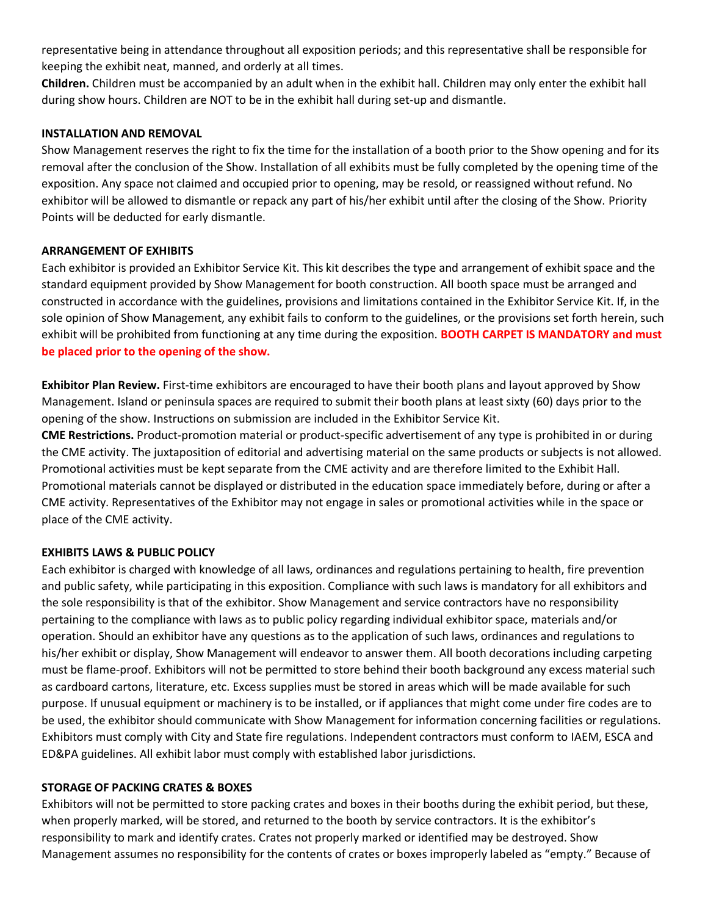representative being in attendance throughout all exposition periods; and this representative shall be responsible for keeping the exhibit neat, manned, and orderly at all times.

**Children.** Children must be accompanied by an adult when in the exhibit hall. Children may only enter the exhibit hall during show hours. Children are NOT to be in the exhibit hall during set-up and dismantle.

#### **INSTALLATION AND REMOVAL**

Show Management reserves the right to fix the time for the installation of a booth prior to the Show opening and for its removal after the conclusion of the Show. Installation of all exhibits must be fully completed by the opening time of the exposition. Any space not claimed and occupied prior to opening, may be resold, or reassigned without refund. No exhibitor will be allowed to dismantle or repack any part of his/her exhibit until after the closing of the Show. Priority Points will be deducted for early dismantle.

## **ARRANGEMENT OF EXHIBITS**

Each exhibitor is provided an Exhibitor Service Kit. This kit describes the type and arrangement of exhibit space and the standard equipment provided by Show Management for booth construction. All booth space must be arranged and constructed in accordance with the guidelines, provisions and limitations contained in the Exhibitor Service Kit. If, in the sole opinion of Show Management, any exhibit fails to conform to the guidelines, or the provisions set forth herein, such exhibit will be prohibited from functioning at any time during the exposition. **BOOTH CARPET IS MANDATORY and must be placed prior to the opening of the show.**

**Exhibitor Plan Review.** First-time exhibitors are encouraged to have their booth plans and layout approved by Show Management. Island or peninsula spaces are required to submit their booth plans at least sixty (60) days prior to the opening of the show. Instructions on submission are included in the Exhibitor Service Kit.

**CME Restrictions.** Product-promotion material or product-specific advertisement of any type is prohibited in or during the CME activity. The juxtaposition of editorial and advertising material on the same products or subjects is not allowed. Promotional activities must be kept separate from the CME activity and are therefore limited to the Exhibit Hall. Promotional materials cannot be displayed or distributed in the education space immediately before, during or after a CME activity. Representatives of the Exhibitor may not engage in sales or promotional activities while in the space or place of the CME activity.

#### **EXHIBITS LAWS & PUBLIC POLICY**

Each exhibitor is charged with knowledge of all laws, ordinances and regulations pertaining to health, fire prevention and public safety, while participating in this exposition. Compliance with such laws is mandatory for all exhibitors and the sole responsibility is that of the exhibitor. Show Management and service contractors have no responsibility pertaining to the compliance with laws as to public policy regarding individual exhibitor space, materials and/or operation. Should an exhibitor have any questions as to the application of such laws, ordinances and regulations to his/her exhibit or display, Show Management will endeavor to answer them. All booth decorations including carpeting must be flame-proof. Exhibitors will not be permitted to store behind their booth background any excess material such as cardboard cartons, literature, etc. Excess supplies must be stored in areas which will be made available for such purpose. If unusual equipment or machinery is to be installed, or if appliances that might come under fire codes are to be used, the exhibitor should communicate with Show Management for information concerning facilities or regulations. Exhibitors must comply with City and State fire regulations. Independent contractors must conform to IAEM, ESCA and ED&PA guidelines. All exhibit labor must comply with established labor jurisdictions.

#### **STORAGE OF PACKING CRATES & BOXES**

Exhibitors will not be permitted to store packing crates and boxes in their booths during the exhibit period, but these, when properly marked, will be stored, and returned to the booth by service contractors. It is the exhibitor's responsibility to mark and identify crates. Crates not properly marked or identified may be destroyed. Show Management assumes no responsibility for the contents of crates or boxes improperly labeled as "empty." Because of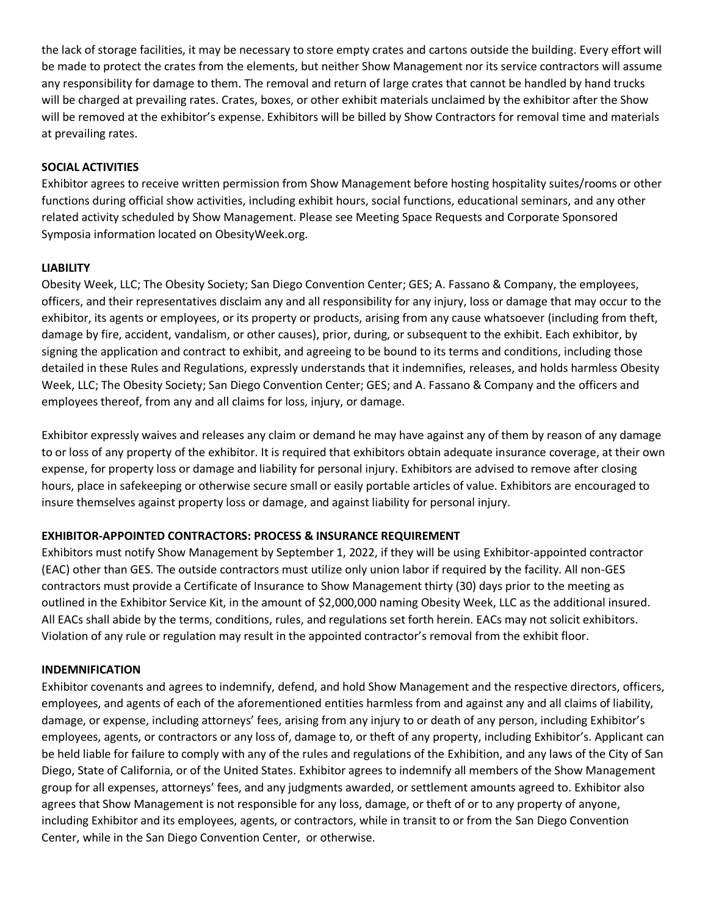the lack of storage facilities, it may be necessary to store empty crates and cartons outside the building. Every effort will be made to protect the crates from the elements, but neither Show Management nor its service contractors will assume any responsibility for damage to them. The removal and return of large crates that cannot be handled by hand trucks will be charged at prevailing rates. Crates, boxes, or other exhibit materials unclaimed by the exhibitor after the Show will be removed at the exhibitor's expense. Exhibitors will be billed by Show Contractors for removal time and materials at prevailing rates.

## **SOCIAL ACTIVITIES**

Exhibitor agrees to receive written permission from Show Management before hosting hospitality suites/rooms or other functions during official show activities, including exhibit hours, social functions, educational seminars, and any other related activity scheduled by Show Management. Please see Meeting Space Requests and Corporate Sponsored Symposia information located on ObesityWeek.org.

#### **LIABILITY**

Obesity Week, LLC; The Obesity Society; San Diego Convention Center; GES; A. Fassano & Company, the employees, officers, and their representatives disclaim any and all responsibility for any injury, loss or damage that may occur to the exhibitor, its agents or employees, or its property or products, arising from any cause whatsoever (including from theft, damage by fire, accident, vandalism, or other causes), prior, during, or subsequent to the exhibit. Each exhibitor, by signing the application and contract to exhibit, and agreeing to be bound to its terms and conditions, including those detailed in these Rules and Regulations, expressly understands that it indemnifies, releases, and holds harmless Obesity Week, LLC; The Obesity Society; San Diego Convention Center; GES; and A. Fassano & Company and the officers and employees thereof, from any and all claims for loss, injury, or damage.

Exhibitor expressly waives and releases any claim or demand he may have against any of them by reason of any damage to or loss of any property of the exhibitor. It is required that exhibitors obtain adequate insurance coverage, at their own expense, for property loss or damage and liability for personal injury. Exhibitors are advised to remove after closing hours, place in safekeeping or otherwise secure small or easily portable articles of value. Exhibitors are encouraged to insure themselves against property loss or damage, and against liability for personal injury.

#### **EXHIBITOR-APPOINTED CONTRACTORS: PROCESS & INSURANCE REQUIREMENT**

Exhibitors must notify Show Management by September 1, 2022, if they will be using Exhibitor-appointed contractor (EAC) other than GES. The outside contractors must utilize only union labor if required by the facility. All non-GES contractors must provide a Certificate of Insurance to Show Management thirty (30) days prior to the meeting as outlined in the Exhibitor Service Kit, in the amount of \$2,000,000 naming Obesity Week, LLC as the additional insured. All EACs shall abide by the terms, conditions, rules, and regulations set forth herein. EACs may not solicit exhibitors. Violation of any rule or regulation may result in the appointed contractor's removal from the exhibit floor.

#### **INDEMNIFICATION**

Exhibitor covenants and agrees to indemnify, defend, and hold Show Management and the respective directors, officers, employees, and agents of each of the aforementioned entities harmless from and against any and all claims of liability, damage, or expense, including attorneys' fees, arising from any injury to or death of any person, including Exhibitor's employees, agents, or contractors or any loss of, damage to, or theft of any property, including Exhibitor's. Applicant can be held liable for failure to comply with any of the rules and regulations of the Exhibition, and any laws of the City of San Diego, State of California, or of the United States. Exhibitor agrees to indemnify all members of the Show Management group for all expenses, attorneys' fees, and any judgments awarded, or settlement amounts agreed to. Exhibitor also agrees that Show Management is not responsible for any loss, damage, or theft of or to any property of anyone, including Exhibitor and its employees, agents, or contractors, while in transit to or from the San Diego Convention Center, while in the San Diego Convention Center, or otherwise.